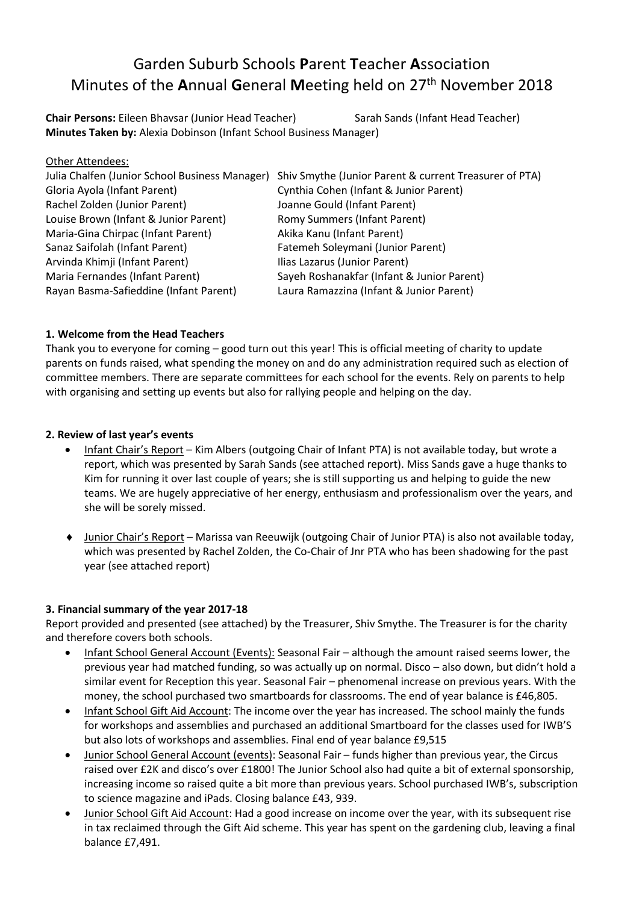# Garden Suburb Schools **P**arent **T**eacher **A**ssociation Minutes of the **A**nnual **G**eneral **M**eeting held on 27 th November 2018

**Chair Persons:** Eileen Bhavsar (Junior Head Teacher) Sarah Sands (Infant Head Teacher) **Minutes Taken by:** Alexia Dobinson (Infant School Business Manager)

| Other Attendees:                               |                                                        |
|------------------------------------------------|--------------------------------------------------------|
| Julia Chalfen (Junior School Business Manager) | Shiv Smythe (Junior Parent & current Treasurer of PTA) |
| Gloria Ayola (Infant Parent)                   | Cynthia Cohen (Infant & Junior Parent)                 |
| Rachel Zolden (Junior Parent)                  | Joanne Gould (Infant Parent)                           |
| Louise Brown (Infant & Junior Parent)          | <b>Romy Summers (Infant Parent)</b>                    |
| Maria-Gina Chirpac (Infant Parent)             | Akika Kanu (Infant Parent)                             |
| Sanaz Saifolah (Infant Parent)                 | Fatemeh Soleymani (Junior Parent)                      |
| Arvinda Khimji (Infant Parent)                 | Ilias Lazarus (Junior Parent)                          |
| Maria Fernandes (Infant Parent)                | Sayeh Roshanakfar (Infant & Junior Parent)             |
| Rayan Basma-Safieddine (Infant Parent)         | Laura Ramazzina (Infant & Junior Parent)               |

# **1. Welcome from the Head Teachers**

Thank you to everyone for coming – good turn out this year! This is official meeting of charity to update parents on funds raised, what spending the money on and do any administration required such as election of committee members. There are separate committees for each school for the events. Rely on parents to help with organising and setting up events but also for rallying people and helping on the day.

# **2. Review of last year's events**

- Infant Chair's Report Kim Albers (outgoing Chair of Infant PTA) is not available today, but wrote a report, which was presented by Sarah Sands (see attached report). Miss Sands gave a huge thanks to Kim for running it over last couple of years; she is still supporting us and helping to guide the new teams. We are hugely appreciative of her energy, enthusiasm and professionalism over the years, and she will be sorely missed.
- Junior Chair's Report Marissa van Reeuwijk (outgoing Chair of Junior PTA) is also not available today, which was presented by Rachel Zolden, the Co-Chair of Jnr PTA who has been shadowing for the past year (see attached report)

# **3. Financial summary of the year 2017-18**

Report provided and presented (see attached) by the Treasurer, Shiv Smythe. The Treasurer is for the charity and therefore covers both schools.

- Infant School General Account (Events): Seasonal Fair although the amount raised seems lower, the previous year had matched funding, so was actually up on normal. Disco – also down, but didn't hold a similar event for Reception this year. Seasonal Fair – phenomenal increase on previous years. With the money, the school purchased two smartboards for classrooms. The end of year balance is £46,805.
- Infant School Gift Aid Account: The income over the year has increased. The school mainly the funds for workshops and assemblies and purchased an additional Smartboard for the classes used for IWB'S but also lots of workshops and assemblies. Final end of year balance £9,515
- Junior School General Account (events): Seasonal Fair funds higher than previous year, the Circus raised over £2K and disco's over £1800! The Junior School also had quite a bit of external sponsorship, increasing income so raised quite a bit more than previous years. School purchased IWB's, subscription to science magazine and iPads. Closing balance £43, 939.
- Junior School Gift Aid Account: Had a good increase on income over the year, with its subsequent rise in tax reclaimed through the Gift Aid scheme. This year has spent on the gardening club, leaving a final balance £7,491.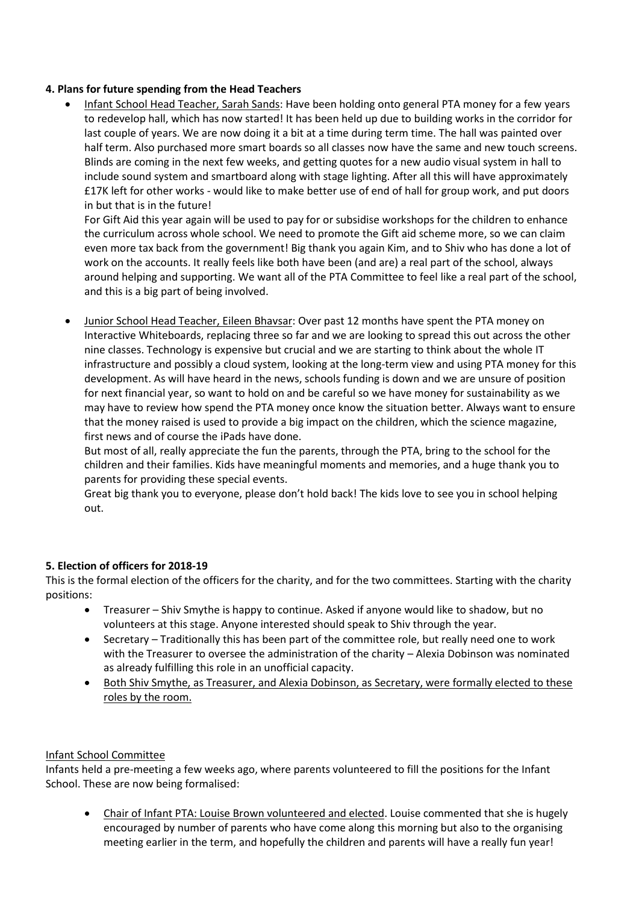#### **4. Plans for future spending from the Head Teachers**

 Infant School Head Teacher, Sarah Sands: Have been holding onto general PTA money for a few years to redevelop hall, which has now started! It has been held up due to building works in the corridor for last couple of years. We are now doing it a bit at a time during term time. The hall was painted over half term. Also purchased more smart boards so all classes now have the same and new touch screens. Blinds are coming in the next few weeks, and getting quotes for a new audio visual system in hall to include sound system and smartboard along with stage lighting. After all this will have approximately £17K left for other works - would like to make better use of end of hall for group work, and put doors in but that is in the future!

For Gift Aid this year again will be used to pay for or subsidise workshops for the children to enhance the curriculum across whole school. We need to promote the Gift aid scheme more, so we can claim even more tax back from the government! Big thank you again Kim, and to Shiv who has done a lot of work on the accounts. It really feels like both have been (and are) a real part of the school, always around helping and supporting. We want all of the PTA Committee to feel like a real part of the school, and this is a big part of being involved.

 Junior School Head Teacher, Eileen Bhavsar: Over past 12 months have spent the PTA money on Interactive Whiteboards, replacing three so far and we are looking to spread this out across the other nine classes. Technology is expensive but crucial and we are starting to think about the whole IT infrastructure and possibly a cloud system, looking at the long-term view and using PTA money for this development. As will have heard in the news, schools funding is down and we are unsure of position for next financial year, so want to hold on and be careful so we have money for sustainability as we may have to review how spend the PTA money once know the situation better. Always want to ensure that the money raised is used to provide a big impact on the children, which the science magazine, first news and of course the iPads have done.

But most of all, really appreciate the fun the parents, through the PTA, bring to the school for the children and their families. Kids have meaningful moments and memories, and a huge thank you to parents for providing these special events.

Great big thank you to everyone, please don't hold back! The kids love to see you in school helping out.

# **5. Election of officers for 2018-19**

This is the formal election of the officers for the charity, and for the two committees. Starting with the charity positions:

- Treasurer Shiv Smythe is happy to continue. Asked if anyone would like to shadow, but no volunteers at this stage. Anyone interested should speak to Shiv through the year.
- Secretary Traditionally this has been part of the committee role, but really need one to work with the Treasurer to oversee the administration of the charity – Alexia Dobinson was nominated as already fulfilling this role in an unofficial capacity.
- Both Shiv Smythe, as Treasurer, and Alexia Dobinson, as Secretary, were formally elected to these roles by the room.

#### Infant School Committee

Infants held a pre-meeting a few weeks ago, where parents volunteered to fill the positions for the Infant School. These are now being formalised:

 Chair of Infant PTA: Louise Brown volunteered and elected. Louise commented that she is hugely encouraged by number of parents who have come along this morning but also to the organising meeting earlier in the term, and hopefully the children and parents will have a really fun year!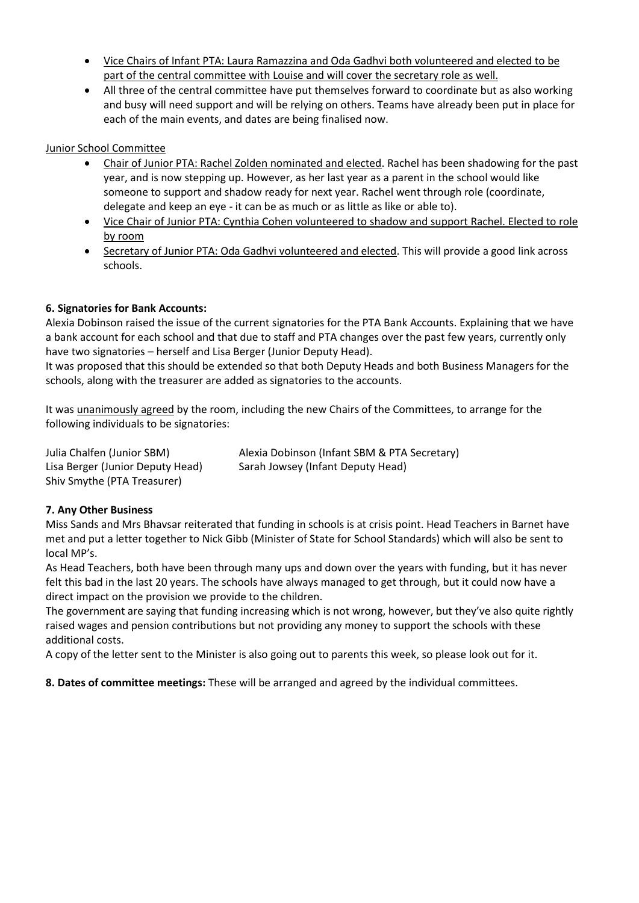- Vice Chairs of Infant PTA: Laura Ramazzina and Oda Gadhvi both volunteered and elected to be part of the central committee with Louise and will cover the secretary role as well.
- All three of the central committee have put themselves forward to coordinate but as also working and busy will need support and will be relying on others. Teams have already been put in place for each of the main events, and dates are being finalised now.

Junior School Committee

- Chair of Junior PTA: Rachel Zolden nominated and elected. Rachel has been shadowing for the past year, and is now stepping up. However, as her last year as a parent in the school would like someone to support and shadow ready for next year. Rachel went through role (coordinate, delegate and keep an eye - it can be as much or as little as like or able to).
- Vice Chair of Junior PTA: Cynthia Cohen volunteered to shadow and support Rachel. Elected to role by room
- Secretary of Junior PTA: Oda Gadhvi volunteered and elected. This will provide a good link across schools.

# **6. Signatories for Bank Accounts:**

Alexia Dobinson raised the issue of the current signatories for the PTA Bank Accounts. Explaining that we have a bank account for each school and that due to staff and PTA changes over the past few years, currently only have two signatories – herself and Lisa Berger (Junior Deputy Head).

It was proposed that this should be extended so that both Deputy Heads and both Business Managers for the schools, along with the treasurer are added as signatories to the accounts.

It was unanimously agreed by the room, including the new Chairs of the Committees, to arrange for the following individuals to be signatories:

Shiv Smythe (PTA Treasurer)

Julia Chalfen (Junior SBM) Alexia Dobinson (Infant SBM & PTA Secretary) Lisa Berger (Junior Deputy Head) Sarah Jowsey (Infant Deputy Head)

# **7. Any Other Business**

Miss Sands and Mrs Bhavsar reiterated that funding in schools is at crisis point. Head Teachers in Barnet have met and put a letter together to Nick Gibb (Minister of State for School Standards) which will also be sent to local MP's.

As Head Teachers, both have been through many ups and down over the years with funding, but it has never felt this bad in the last 20 years. The schools have always managed to get through, but it could now have a direct impact on the provision we provide to the children.

The government are saying that funding increasing which is not wrong, however, but they've also quite rightly raised wages and pension contributions but not providing any money to support the schools with these additional costs.

A copy of the letter sent to the Minister is also going out to parents this week, so please look out for it.

**8. Dates of committee meetings:** These will be arranged and agreed by the individual committees.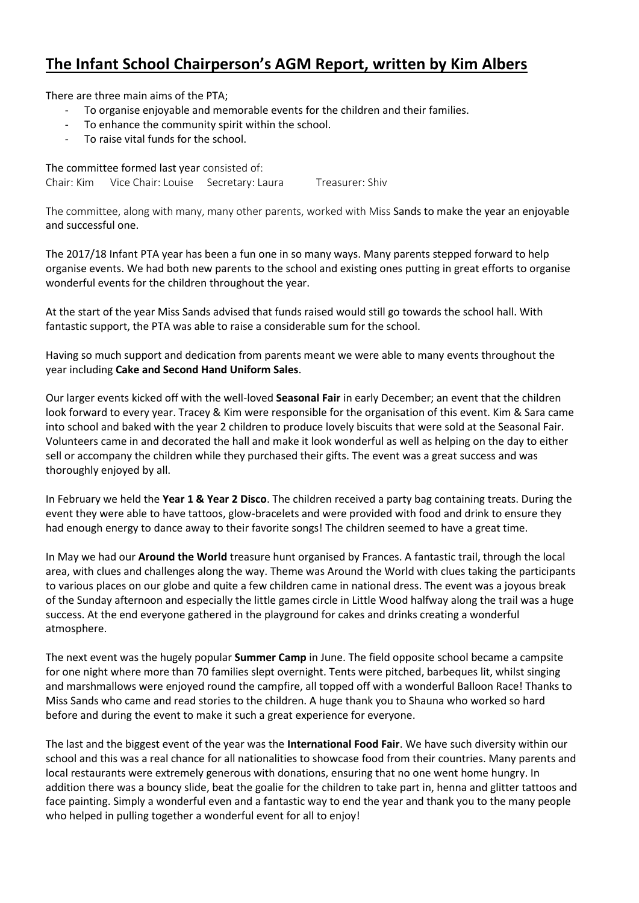# **The Infant School Chairperson's AGM Report, written by Kim Albers**

There are three main aims of the PTA;

- To organise enjoyable and memorable events for the children and their families.
- To enhance the community spirit within the school.
- To raise vital funds for the school.

The committee formed last year consisted of: Chair: Kim Vice Chair: Louise Secretary: Laura Treasurer: Shiv

The committee, along with many, many other parents, worked with Miss Sands to make the year an enjoyable and successful one.

The 2017/18 Infant PTA year has been a fun one in so many ways. Many parents stepped forward to help organise events. We had both new parents to the school and existing ones putting in great efforts to organise wonderful events for the children throughout the year.

At the start of the year Miss Sands advised that funds raised would still go towards the school hall. With fantastic support, the PTA was able to raise a considerable sum for the school.

Having so much support and dedication from parents meant we were able to many events throughout the year including **Cake and Second Hand Uniform Sales**.

Our larger events kicked off with the well-loved **Seasonal Fair** in early December; an event that the children look forward to every year. Tracey & Kim were responsible for the organisation of this event. Kim & Sara came into school and baked with the year 2 children to produce lovely biscuits that were sold at the Seasonal Fair. Volunteers came in and decorated the hall and make it look wonderful as well as helping on the day to either sell or accompany the children while they purchased their gifts. The event was a great success and was thoroughly enjoyed by all.

In February we held the **Year 1 & Year 2 Disco**. The children received a party bag containing treats. During the event they were able to have tattoos, glow-bracelets and were provided with food and drink to ensure they had enough energy to dance away to their favorite songs! The children seemed to have a great time.

In May we had our **Around the World** treasure hunt organised by Frances. A fantastic trail, through the local area, with clues and challenges along the way. Theme was Around the World with clues taking the participants to various places on our globe and quite a few children came in national dress. The event was a joyous break of the Sunday afternoon and especially the little games circle in Little Wood halfway along the trail was a huge success. At the end everyone gathered in the playground for cakes and drinks creating a wonderful atmosphere.

The next event was the hugely popular **Summer Camp** in June. The field opposite school became a campsite for one night where more than 70 families slept overnight. Tents were pitched, barbeques lit, whilst singing and marshmallows were enjoyed round the campfire, all topped off with a wonderful Balloon Race! Thanks to Miss Sands who came and read stories to the children. A huge thank you to Shauna who worked so hard before and during the event to make it such a great experience for everyone.

The last and the biggest event of the year was the **International Food Fair**. We have such diversity within our school and this was a real chance for all nationalities to showcase food from their countries. Many parents and local restaurants were extremely generous with donations, ensuring that no one went home hungry. In addition there was a bouncy slide, beat the goalie for the children to take part in, henna and glitter tattoos and face painting. Simply a wonderful even and a fantastic way to end the year and thank you to the many people who helped in pulling together a wonderful event for all to enjoy!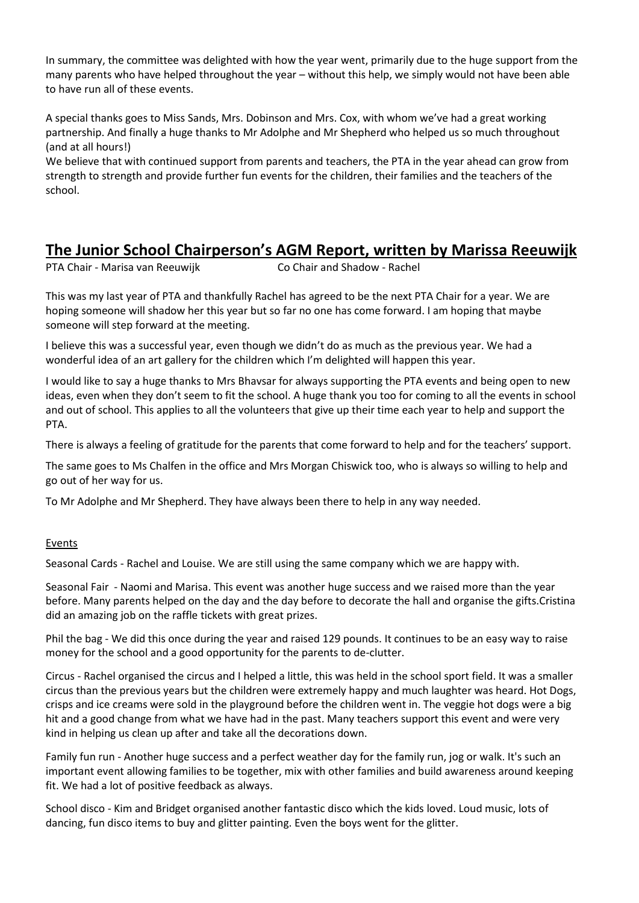In summary, the committee was delighted with how the year went, primarily due to the huge support from the many parents who have helped throughout the year – without this help, we simply would not have been able to have run all of these events.

A special thanks goes to Miss Sands, Mrs. Dobinson and Mrs. Cox, with whom we've had a great working partnership. And finally a huge thanks to Mr Adolphe and Mr Shepherd who helped us so much throughout (and at all hours!)

We believe that with continued support from parents and teachers, the PTA in the year ahead can grow from strength to strength and provide further fun events for the children, their families and the teachers of the school.

# **The Junior School Chairperson's AGM Report, written by Marissa Reeuwijk**

PTA Chair - Marisa van Reeuwijk Co Chair and Shadow - Rachel

This was my last year of PTA and thankfully Rachel has agreed to be the next PTA Chair for a year. We are hoping someone will shadow her this year but so far no one has come forward. I am hoping that maybe someone will step forward at the meeting.

I believe this was a successful year, even though we didn't do as much as the previous year. We had a wonderful idea of an art gallery for the children which I'm delighted will happen this year.

I would like to say a huge thanks to Mrs Bhavsar for always supporting the PTA events and being open to new ideas, even when they don't seem to fit the school. A huge thank you too for coming to all the events in school and out of school. This applies to all the volunteers that give up their time each year to help and support the PTA.

There is always a feeling of gratitude for the parents that come forward to help and for the teachers' support.

The same goes to Ms Chalfen in the office and Mrs Morgan Chiswick too, who is always so willing to help and go out of her way for us.

To Mr Adolphe and Mr Shepherd. They have always been there to help in any way needed.

# Events

Seasonal Cards - Rachel and Louise. We are still using the same company which we are happy with.

Seasonal Fair - Naomi and Marisa. This event was another huge success and we raised more than the year before. Many parents helped on the day and the day before to decorate the hall and organise the gifts.Cristina did an amazing job on the raffle tickets with great prizes.

Phil the bag - We did this once during the year and raised 129 pounds. It continues to be an easy way to raise money for the school and a good opportunity for the parents to de-clutter.

Circus - Rachel organised the circus and I helped a little, this was held in the school sport field. It was a smaller circus than the previous years but the children were extremely happy and much laughter was heard. Hot Dogs, crisps and ice creams were sold in the playground before the children went in. The veggie hot dogs were a big hit and a good change from what we have had in the past. Many teachers support this event and were very kind in helping us clean up after and take all the decorations down.

Family fun run - Another huge success and a perfect weather day for the family run, jog or walk. It's such an important event allowing families to be together, mix with other families and build awareness around keeping fit. We had a lot of positive feedback as always.

School disco - Kim and Bridget organised another fantastic disco which the kids loved. Loud music, lots of dancing, fun disco items to buy and glitter painting. Even the boys went for the glitter.